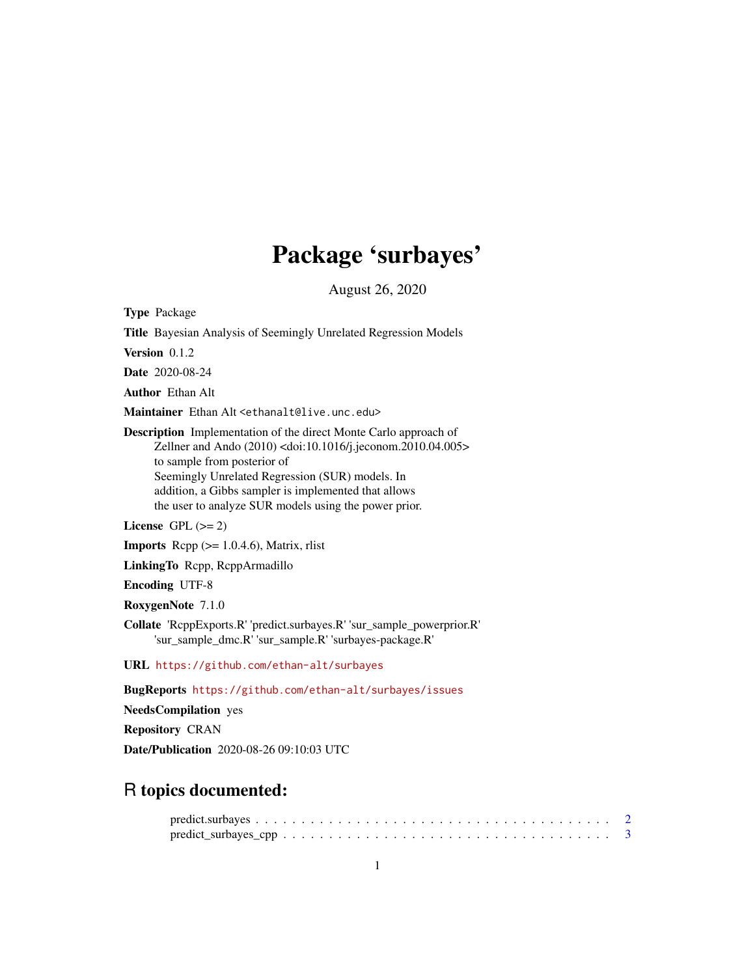## Package 'surbayes'

August 26, 2020

Type Package

Title Bayesian Analysis of Seemingly Unrelated Regression Models

Version 0.1.2

Date 2020-08-24

Author Ethan Alt

Maintainer Ethan Alt <ethanalt@live.unc.edu>

Description Implementation of the direct Monte Carlo approach of Zellner and Ando (2010) <doi:10.1016/j.jeconom.2010.04.005> to sample from posterior of Seemingly Unrelated Regression (SUR) models. In addition, a Gibbs sampler is implemented that allows the user to analyze SUR models using the power prior.

License GPL  $(>= 2)$ 

**Imports** Rcpp  $(>= 1.0.4.6)$ , Matrix, rlist

LinkingTo Rcpp, RcppArmadillo

Encoding UTF-8

RoxygenNote 7.1.0

Collate 'RcppExports.R' 'predict.surbayes.R' 'sur\_sample\_powerprior.R' 'sur\_sample\_dmc.R' 'sur\_sample.R' 'surbayes-package.R'

URL <https://github.com/ethan-alt/surbayes>

BugReports <https://github.com/ethan-alt/surbayes/issues>

NeedsCompilation yes

Repository CRAN

Date/Publication 2020-08-26 09:10:03 UTC

### R topics documented:

| $predict\_surbayes\_cpp \ldots \ldots \ldots \ldots \ldots \ldots \ldots \ldots \ldots \ldots \ldots \ldots 3$ |  |  |  |  |  |  |  |  |  |  |  |  |  |  |  |  |  |  |
|----------------------------------------------------------------------------------------------------------------|--|--|--|--|--|--|--|--|--|--|--|--|--|--|--|--|--|--|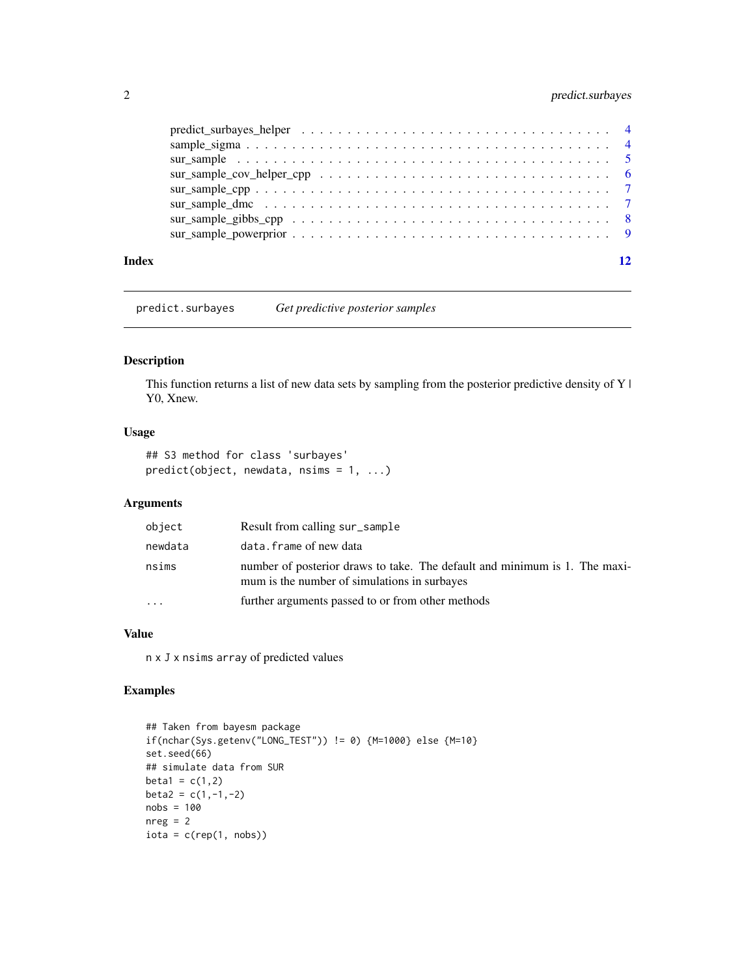#### <span id="page-1-0"></span>2 predict.surbayes

| Index |  |
|-------|--|

predict.surbayes *Get predictive posterior samples*

#### Description

This function returns a list of new data sets by sampling from the posterior predictive density of Y | Y0, Xnew.

#### Usage

```
## S3 method for class 'surbayes'
predict(object, newdata, nsims = 1, ...)
```
#### Arguments

| object  | Result from calling sur_sample                                                                                             |
|---------|----------------------------------------------------------------------------------------------------------------------------|
| newdata | data.frame of new data                                                                                                     |
| nsims   | number of posterior draws to take. The default and minimum is 1. The maxi-<br>mum is the number of simulations in surbayes |
| $\cdot$ | further arguments passed to or from other methods                                                                          |

#### Value

n x J x nsims array of predicted values

#### Examples

```
## Taken from bayesm package
if(nchar(Sys.getenv("LONG_TEST")) != 0) {M=1000} else {M=10}
set.seed(66)
## simulate data from SUR
beta1 = c(1,2)beta2 = c(1,-1,-2)nobs = 100
nreg = 2iota = c(rep(1, nobs))
```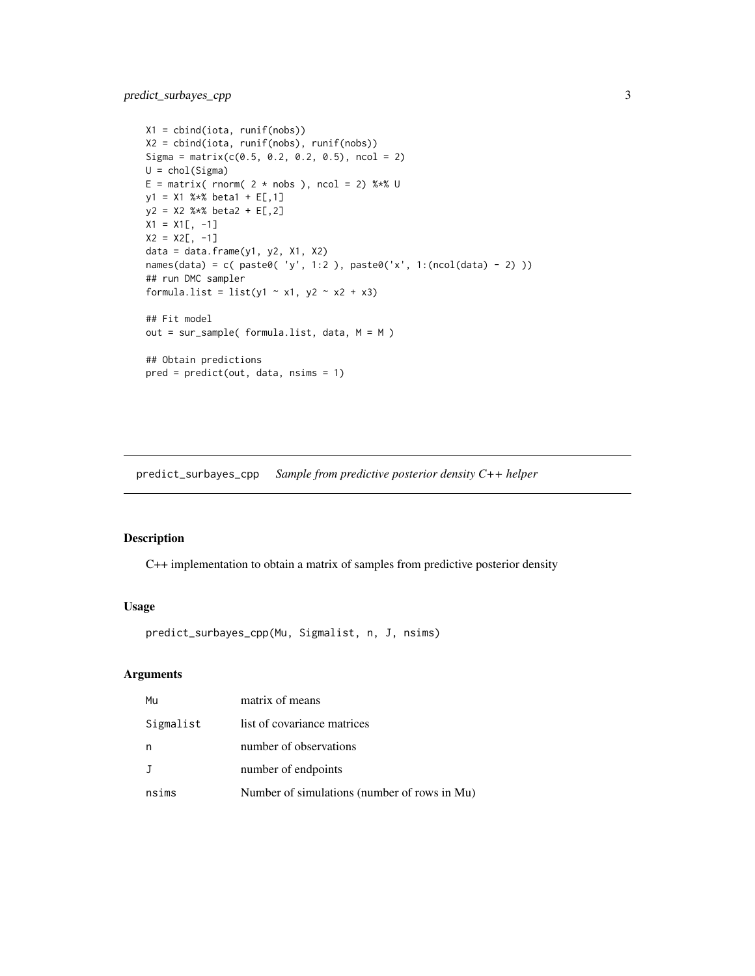```
X1 = cbind(iota, runif(nobs))
X2 = cbind(iota, runif(nobs), runif(nobs))
Sigma = matrix(c(0.5, 0.2, 0.2, 0.5), ncol = 2)
U = chol(Sigma)E = matrix( rnorm( 2 * nobs), ncol = 2) %*% U
y1 = X1 %*% beta1 + E[,1]
y2 = X2 %*% beta2 + E[,2]
X1 = X1[, -1]X2 = X2[, -1]data = data.frame(y1, y2, X1, X2)
names(data) = c( paste0( 'y', 1:2 ), paste0('x', 1:(ncol(data) - 2) ))
## run DMC sampler
formula.list = list(y1 \sim x1, y2 \sim x2 + x3)
## Fit model
out = sur_sample( formula.list, data, M = M )
## Obtain predictions
pred = predict(out, data, nsims = 1)
```
predict\_surbayes\_cpp *Sample from predictive posterior density C++ helper*

#### Description

C++ implementation to obtain a matrix of samples from predictive posterior density

#### Usage

predict\_surbayes\_cpp(Mu, Sigmalist, n, J, nsims)

#### Arguments

| Mu           | matrix of means                              |
|--------------|----------------------------------------------|
| Sigmalist    | list of covariance matrices                  |
| n            | number of observations                       |
| $\mathbf{J}$ | number of endpoints                          |
| nsims        | Number of simulations (number of rows in Mu) |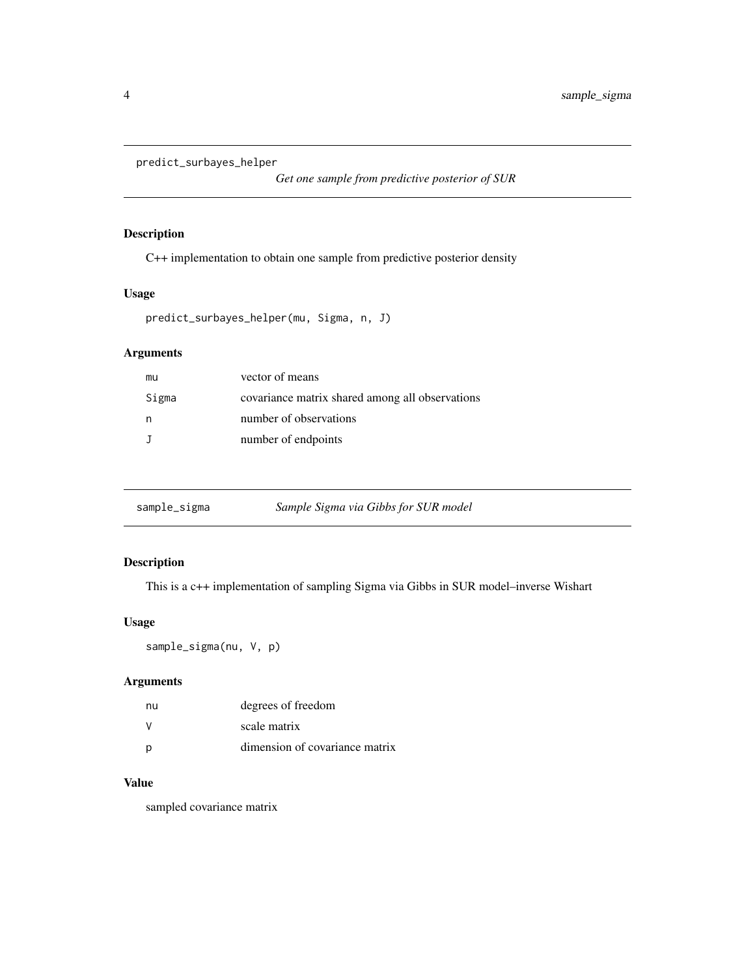```
predict_surbayes_helper
```
*Get one sample from predictive posterior of SUR*

#### Description

C++ implementation to obtain one sample from predictive posterior density

#### Usage

```
predict_surbayes_helper(mu, Sigma, n, J)
```
#### Arguments

| mu    | vector of means                                 |
|-------|-------------------------------------------------|
| Sigma | covariance matrix shared among all observations |
| n.    | number of observations                          |
|       | number of endpoints                             |

| sample_sigma | Sample Sigma via Gibbs for SUR model |
|--------------|--------------------------------------|
|              |                                      |

#### Description

This is a c++ implementation of sampling Sigma via Gibbs in SUR model–inverse Wishart

#### Usage

```
sample_sigma(nu, V, p)
```
#### Arguments

| nu | degrees of freedom             |
|----|--------------------------------|
|    | scale matrix                   |
|    | dimension of covariance matrix |

#### Value

sampled covariance matrix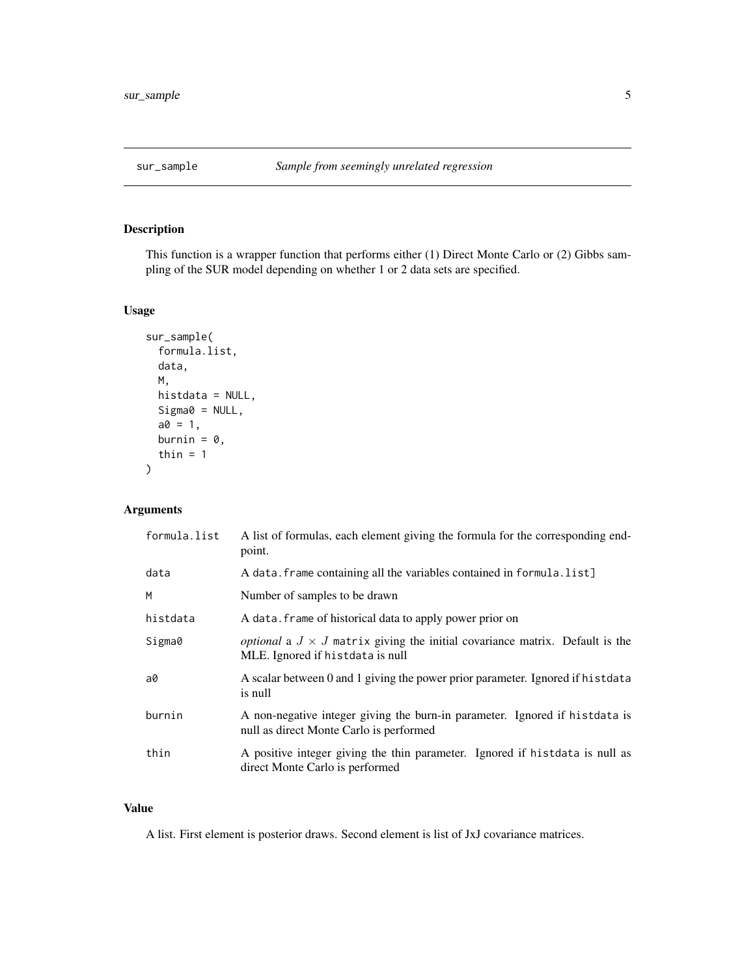<span id="page-4-0"></span>

#### Description

This function is a wrapper function that performs either (1) Direct Monte Carlo or (2) Gibbs sampling of the SUR model depending on whether 1 or 2 data sets are specified.

#### Usage

```
sur_sample(
  formula.list,
 data,
 M,
 histdata = NULL,
 Sigma0 = NULL,
 a0 = 1,burnin = \theta,
  thin = 1)
```
#### Arguments

| formula.list | A list of formulas, each element giving the formula for the corresponding end-<br>point.                                       |
|--------------|--------------------------------------------------------------------------------------------------------------------------------|
| data         | A data. frame containing all the variables contained in formula. list]                                                         |
| M            | Number of samples to be drawn                                                                                                  |
| histdata     | A data. frame of historical data to apply power prior on                                                                       |
| Sigma0       | <i>optional</i> a $J \times J$ matrix giving the initial covariance matrix. Default is the<br>MLE. Ignored if histdata is null |
| a0           | A scalar between 0 and 1 giving the power prior parameter. Ignored if histdata<br>is null                                      |
| burnin       | A non-negative integer giving the burn-in parameter. Ignored if histdata is<br>null as direct Monte Carlo is performed         |
| thin         | A positive integer giving the thin parameter. Ignored if histdata is null as<br>direct Monte Carlo is performed                |

#### Value

A list. First element is posterior draws. Second element is list of JxJ covariance matrices.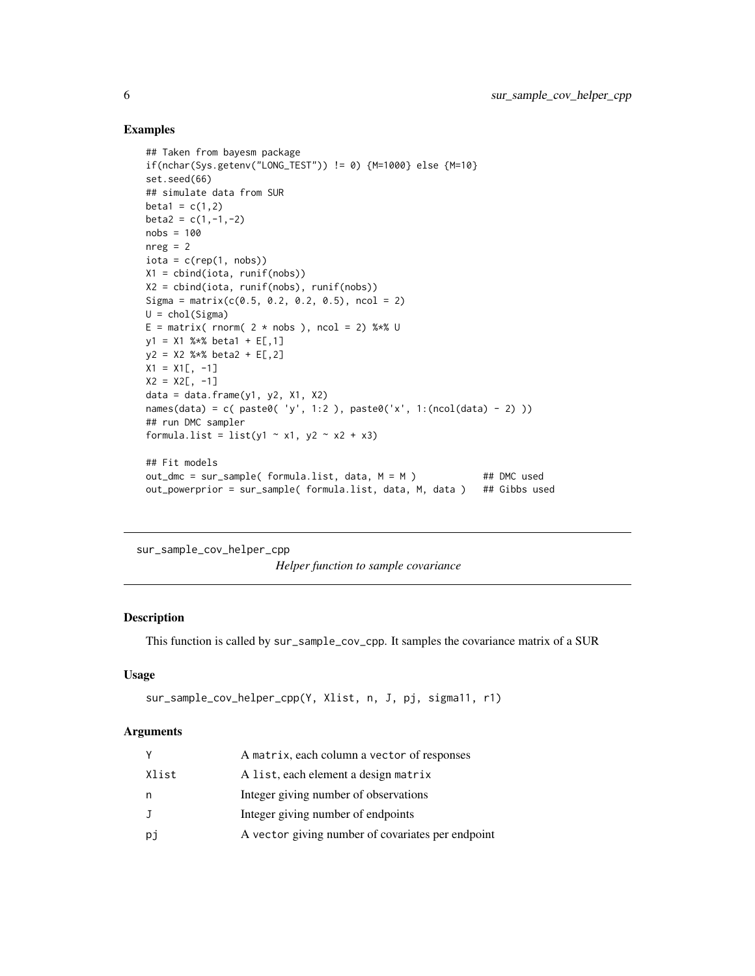#### Examples

```
## Taken from bayesm package
if(nchar(Sys.getenv("LONG_TEST")) != 0) {M=1000} else {M=10}
set.seed(66)
## simulate data from SUR
beta1 = c(1,2)beta2 = c(1,-1,-2)nobs = 100
nreg = 2iota = c(rep(1, nobs))X1 = cbind(iota, runif(nobs))
X2 = cbind(iota, runif(nobs), runif(nobs))
Sigma = matrix(c(0.5, 0.2, 0.2, 0.5), ncol = 2)
U = chol(Sigma)E = matrix( rnorm( 2 * nobs), ncol = 2) %*% U
y1 = X1 %*% beta1 + E[,1]
y2 = X2 %*% beta2 + E[,2]
X1 = X1[, -1]
X2 = X2[, -1]data = data.frame(y1, y2, x1, x2)names(data) = c( paste0( 'y', 1:2 ), paste0('x', 1:(ncol(data) - 2) ))
## run DMC sampler
formula.list = list(y1 \sim x1, y2 \sim x2 + x3)
## Fit models
out\_dmc = sur\_sample( formula.list, data, M = M) ## DMC used
out_powerprior = sur_sample( formula.list, data, M, data ) ## Gibbs used
```
sur\_sample\_cov\_helper\_cpp *Helper function to sample covariance*

#### Description

This function is called by sur\_sample\_cov\_cpp. It samples the covariance matrix of a SUR

#### Usage

```
sur_sample_cov_helper_cpp(Y, Xlist, n, J, pj, sigma11, r1)
```
#### Arguments

| A matrix, each column a vector of responses             |  |
|---------------------------------------------------------|--|
| Xlist<br>A list, each element a design matrix           |  |
| Integer giving number of observations<br>n              |  |
| Integer giving number of endpoints<br>J                 |  |
| A vector giving number of covariates per endpoint<br>рj |  |

<span id="page-5-0"></span>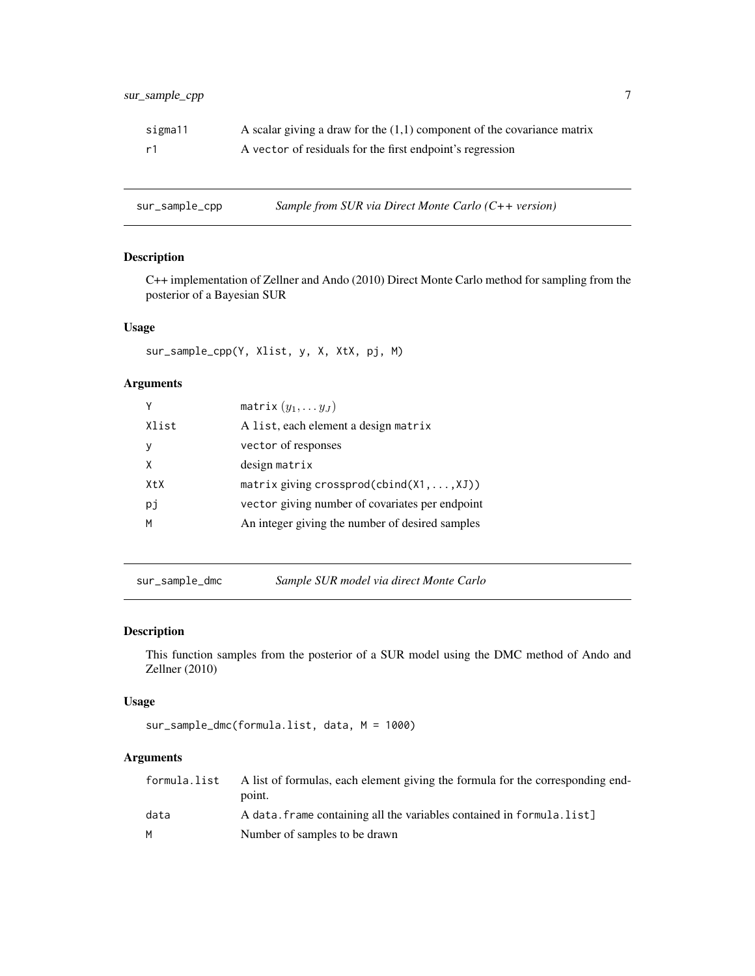<span id="page-6-0"></span>

| sigma11 | A scalar giving a draw for the $(1,1)$ component of the covariance matrix |
|---------|---------------------------------------------------------------------------|
| r1      | A vector of residuals for the first endpoint's regression                 |

sur\_sample\_cpp *Sample from SUR via Direct Monte Carlo (C++ version)*

#### Description

C++ implementation of Zellner and Ando (2010) Direct Monte Carlo method for sampling from the posterior of a Bayesian SUR

#### Usage

sur\_sample\_cpp(Y, Xlist, y, X, XtX, pj, M)

#### Arguments

|       | matrix $(y_1, \ldots y_J)$                         |
|-------|----------------------------------------------------|
| Xlist | A list, each element a design matrix               |
| ν     | vector of responses                                |
| Χ     | design matrix                                      |
| XtX   | matrix giving crossprod(cbind $(X1, \ldots, XJ)$ ) |
| рj    | vector giving number of covariates per endpoint    |
| м     | An integer giving the number of desired samples    |
|       |                                                    |

sur\_sample\_dmc *Sample SUR model via direct Monte Carlo*

#### Description

This function samples from the posterior of a SUR model using the DMC method of Ando and Zellner (2010)

#### Usage

sur\_sample\_dmc(formula.list, data, M = 1000)

#### Arguments

| formula.list | A list of formulas, each element giving the formula for the corresponding end-<br>point. |
|--------------|------------------------------------------------------------------------------------------|
| data         | A data. frame containing all the variables contained in formula. list]                   |
|              | Number of samples to be drawn                                                            |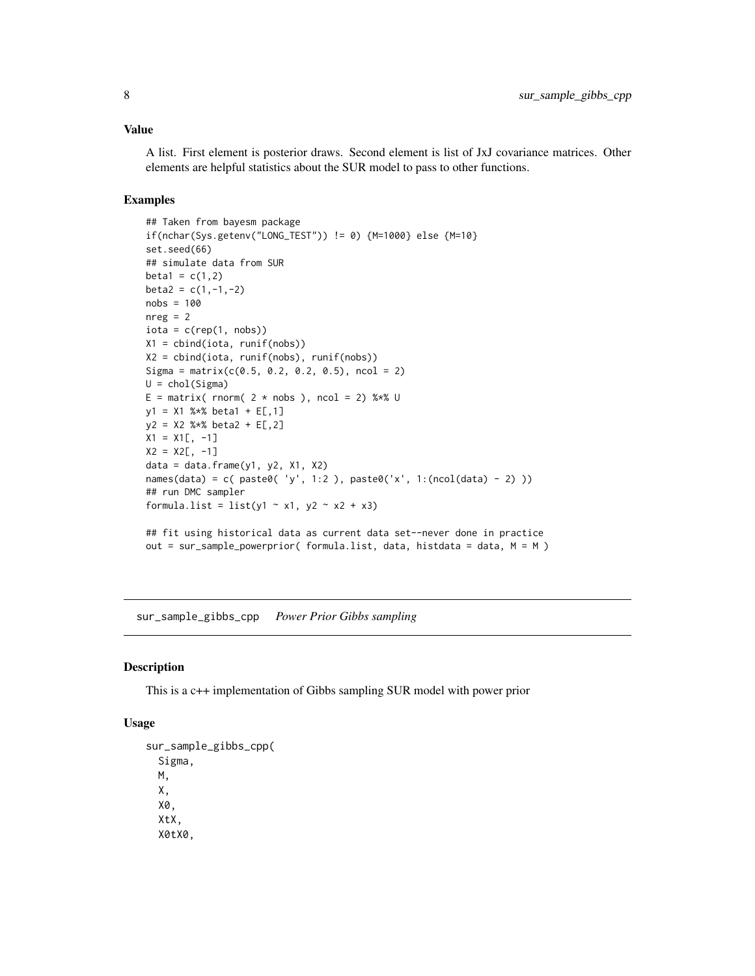#### <span id="page-7-0"></span>Value

A list. First element is posterior draws. Second element is list of JxJ covariance matrices. Other elements are helpful statistics about the SUR model to pass to other functions.

#### Examples

```
## Taken from bayesm package
if(nchar(Sys.getenv("LONG_TEST")) != 0) {M=1000} else {M=10}
set.seed(66)
## simulate data from SUR
beta1 = c(1,2)beta2 = c(1,-1,-2)nobs = 100
nreg = 2iota = c(rep(1, nobs))X1 = cbind(iota, runif(nobs))
X2 = cbind(iota, runif(nobs), runif(nobs))
Sigma = matrix(c(0.5, 0.2, 0.2, 0.5), ncol = 2)
U = chol(Sigma)E = matrix( rnorm( 2 * nobs ), ncol = 2) %*% U
y1 = X1 %*% beta1 + E[,1]
y2 = X2 %*% beta2 + E[,2]
X1 = X1[, -1]X2 = X2[, -1]data = data-frame(y1, y2, X1, X2)names(data) = c( paste0( 'y', 1:2 ), paste0('x', 1:(ncol(data) - 2) ))
## run DMC sampler
formula.list = list(y1 \sim x1, y2 \sim x2 + x3)
## fit using historical data as current data set--never done in practice
out = sur_sample_powerprior( formula.list, data, histdata = data, M = M )
```
sur\_sample\_gibbs\_cpp *Power Prior Gibbs sampling*

#### Description

This is a c++ implementation of Gibbs sampling SUR model with power prior

#### Usage

```
sur_sample_gibbs_cpp(
  Sigma,
 M,
  X,
  X0,
  XtX,
 X0tX0,
```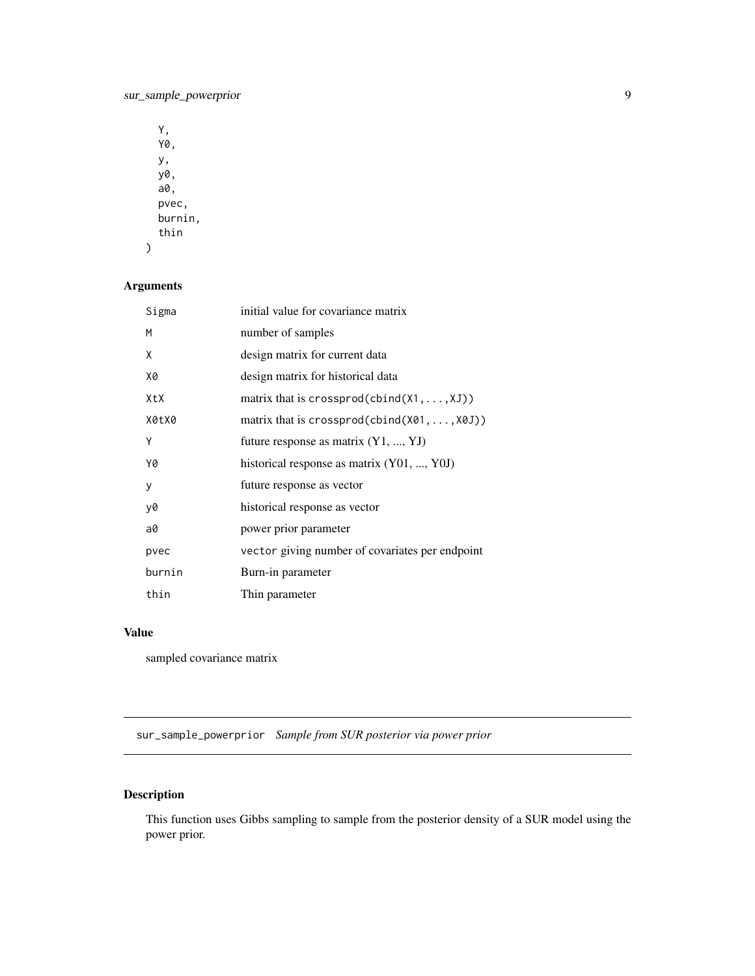<span id="page-8-0"></span>Y, Y0, y, y0, a0, pvec, burnin, thin

#### Arguments

)

| Sigma  | initial value for covariance matrix                   |
|--------|-------------------------------------------------------|
| M      | number of samples                                     |
| X      | design matrix for current data                        |
| Х0     | design matrix for historical data                     |
| XtX    | matrix that is crossprod(cbind( $X1, \ldots, XJ$ ))   |
| X0tX0  | matrix that is crossprod(cbind( $X01, \ldots, X0J$ )) |
| Υ      | future response as matrix $(Y1, , YJ)$                |
| Y0     | historical response as matrix (Y01, , Y0J)            |
| у      | future response as vector                             |
| y0     | historical response as vector                         |
| a0     | power prior parameter                                 |
| pvec   | vector giving number of covariates per endpoint       |
| burnin | Burn-in parameter                                     |
| thin   | Thin parameter                                        |

#### Value

sampled covariance matrix

sur\_sample\_powerprior *Sample from SUR posterior via power prior*

#### Description

This function uses Gibbs sampling to sample from the posterior density of a SUR model using the power prior.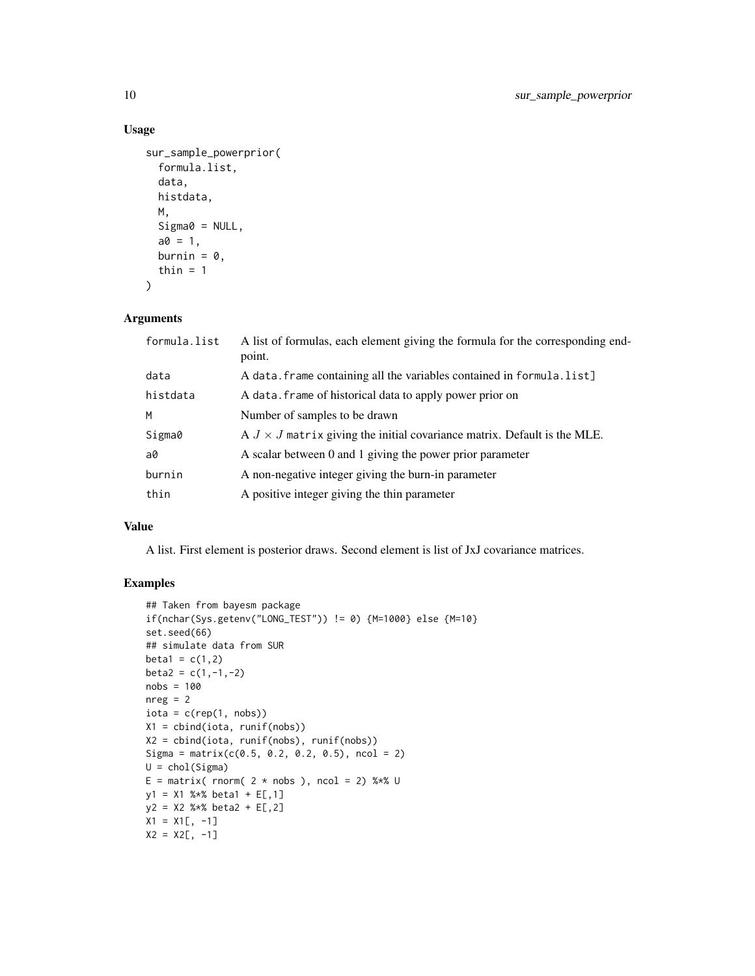#### Usage

```
sur_sample_powerprior(
  formula.list,
  data,
 histdata,
 M,
  Sigma@ = NULL,a0 = 1,
 burnin = 0,
 thin = 1)
```
#### Arguments

| formula.list | A list of formulas, each element giving the formula for the corresponding end-<br>point. |
|--------------|------------------------------------------------------------------------------------------|
| data         | A data. frame containing all the variables contained in formula. list]                   |
| histdata     | A data. frame of historical data to apply power prior on                                 |
| M            | Number of samples to be drawn                                                            |
| Sigma0       | $A J \times J$ matrix giving the initial covariance matrix. Default is the MLE.          |
| a0           | A scalar between 0 and 1 giving the power prior parameter                                |
| burnin       | A non-negative integer giving the burn-in parameter                                      |
| thin         | A positive integer giving the thin parameter                                             |

#### Value

A list. First element is posterior draws. Second element is list of JxJ covariance matrices.

#### Examples

```
## Taken from bayesm package
if(nchar(Sys.getenv("LONG_TEST")) != 0) {M=1000} else {M=10}
set.seed(66)
## simulate data from SUR
beta1 = c(1,2)beta2 = c(1,-1,-2)nobs = 100
nreg = 2iota = c(rep(1, nobs))X1 = cbind(iota, runif(nobs))
X2 = cbind(iota, runif(nobs), runif(nobs))
Sigma = matrix(c(0.5, 0.2, 0.2, 0.5), ncol = 2)
U = chol(Sigma)E = matrix( rnorm( 2 * nobs ), ncol = 2) %*% U
y1 = X1 %*% beta1 + E[,1]
y2 = X2 %*% beta2 + E[,2]
X1 = X1[, -1]X2 = X2[, -1]
```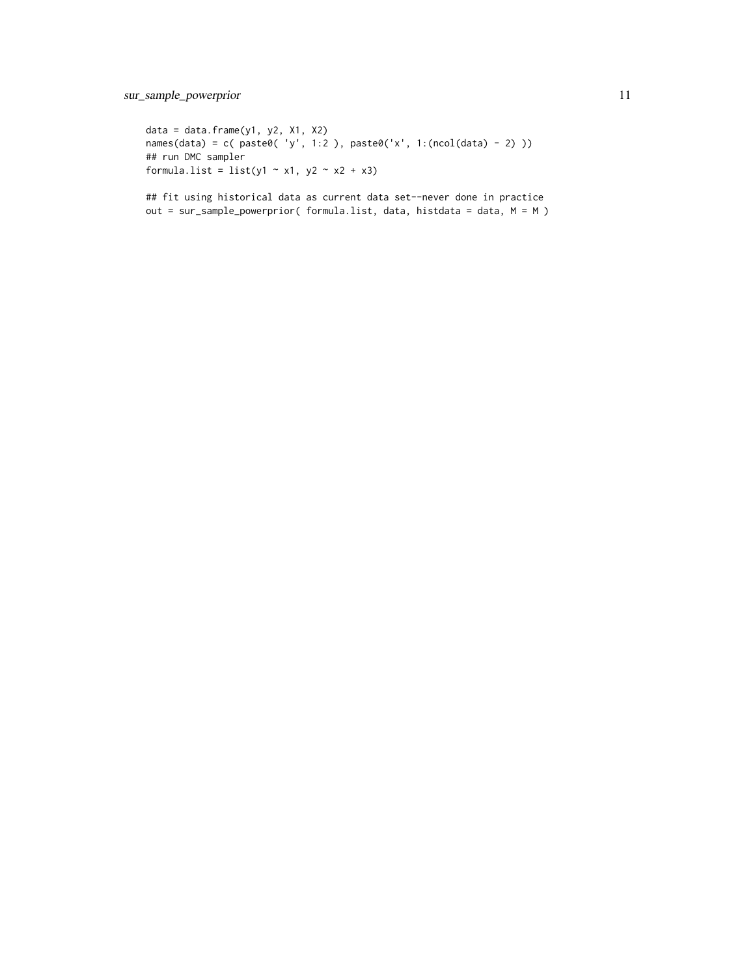data = data.frame( $y1$ ,  $y2$ ,  $x1$ ,  $x2$ ) names(data) = c( paste0( 'y', 1:2 ), paste0('x', 1:(ncol(data) - 2) )) ## run DMC sampler formula.list = list(y1  $\sim$  x1, y2  $\sim$  x2 + x3)

## fit using historical data as current data set--never done in practice out = sur\_sample\_powerprior( formula.list, data, histdata = data, M = M )